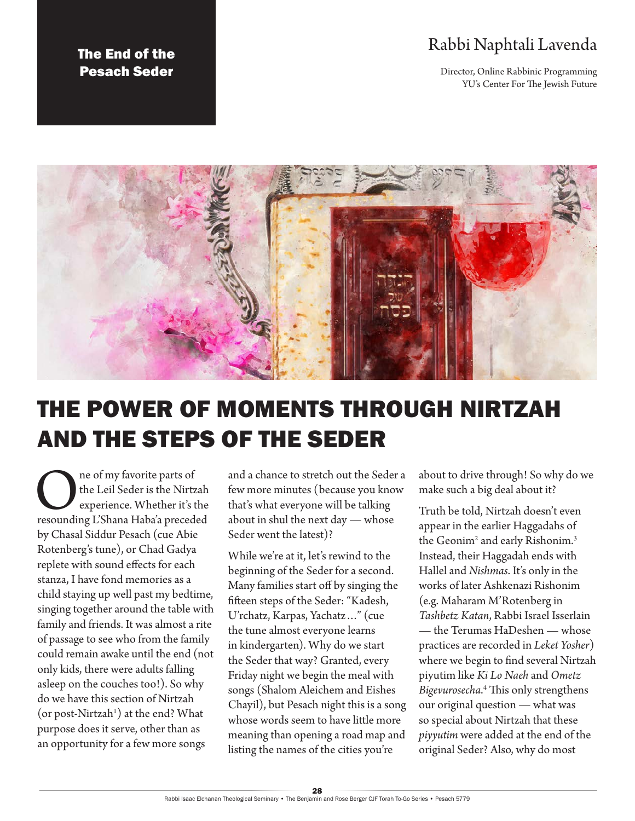# Rabbi Naphtali Lavenda

Director, Online Rabbinic Programming YU's Center For The Jewish Future





# THE POWER OF MOMENTS THROUGH NIRTZAH AND THE STEPS OF THE SEDER

**ONE ONE ONE ONE ONE ORIGINAL SURFERENCE AND SERVICE SERVICE SERVICE AND SERVICE SERVICE SERVICE SERVICE SERVICE SERVICE SERVICE SERVICE SERVICE SERVICE SERVICE SERVICE SERVICE SERVICE SERVICE SERVICE SERVICE SERVICE SERVI** the Leil Seder is the Nirtzah experience. Whether it's the by Chasal Siddur Pesach (cue Abie Rotenberg's tune), or Chad Gadya replete with sound effects for each stanza, I have fond memories as a child staying up well past my bedtime, singing together around the table with family and friends. It was almost a rite of passage to see who from the family could remain awake until the end (not only kids, there were adults falling asleep on the couches too!). So why do we have this section of Nirtzah  $($ or post-Nirtzah $<sup>1</sup>$ ) at the end? What</sup> purpose does it serve, other than as an opportunity for a few more songs

and a chance to stretch out the Seder a few more minutes (because you know that's what everyone will be talking about in shul the next day — whose Seder went the latest)?

While we're at it, let's rewind to the beginning of the Seder for a second. Many families start off by singing the fifteen steps of the Seder: "Kadesh, U'rchatz, Karpas, Yachatz…" (cue the tune almost everyone learns in kindergarten). Why do we start the Seder that way? Granted, every Friday night we begin the meal with songs (Shalom Aleichem and Eishes Chayil), but Pesach night this is a song whose words seem to have little more meaning than opening a road map and listing the names of the cities you're

about to drive through! So why do we make such a big deal about it?

Truth be told, Nirtzah doesn't even appear in the earlier Haggadahs of the Geonim $^2$  and early Rishonim. $^3$ Instead, their Haggadah ends with Hallel and *Nishmas*. It's only in the works of later Ashkenazi Rishonim (e.g. Maharam M'Rotenberg in *Tashbetz Katan*, Rabbi Israel Isserlain — the Terumas HaDeshen — whose practices are recorded in *Leket Yosher*) where we begin to find several Nirtzah piyutim like *Ki Lo Naeh* and *Ometz Bigevurosecha*. 4 This only strengthens our original question — what was so special about Nirtzah that these *piyyutim* were added at the end of the original Seder? Also, why do most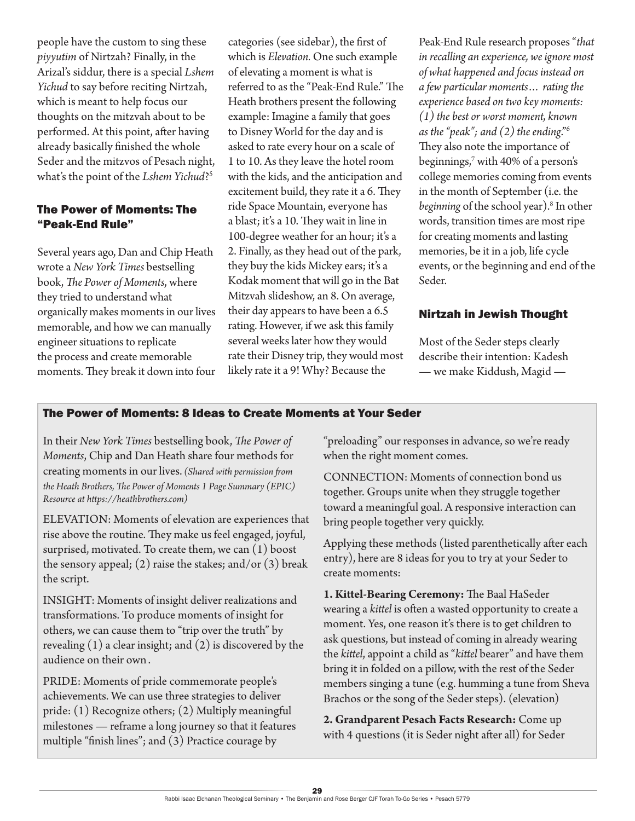people have the custom to sing these *piyyutim* of Nirtzah? Finally, in the Arizal's siddur, there is a special *Lshem Yichud* to say before reciting Nirtzah, which is meant to help focus our thoughts on the mitzvah about to be performed. At this point, after having already basically finished the whole Seder and the mitzvos of Pesach night, what's the point of the *Lshem Yichud*?5

#### The Power of Moments: The "Peak-End Rule"

Several years ago, Dan and Chip Heath wrote a *New York Times* bestselling book, *The Power of Moments*, where they tried to understand what organically makes moments in our lives memorable, and how we can manually engineer situations to replicate the process and create memorable moments. They break it down into four

categories (see sidebar), the first of which is *Elevation.* One such example of elevating a moment is what is referred to as the "Peak-End Rule." The Heath brothers present the following example: Imagine a family that goes to Disney World for the day and is asked to rate every hour on a scale of 1 to 10. As they leave the hotel room with the kids, and the anticipation and excitement build, they rate it a 6. They ride Space Mountain, everyone has a blast; it's a 10. They wait in line in 100-degree weather for an hour; it's a 2. Finally, as they head out of the park, they buy the kids Mickey ears; it's a Kodak moment that will go in the Bat Mitzvah slideshow, an 8. On average, their day appears to have been a 6.5 rating. However, if we ask this family several weeks later how they would rate their Disney trip, they would most likely rate it a 9! Why? Because the

Peak-End Rule research proposes "*that in recalling an experience, we ignore most of what happened and focus instead on a few particular moments… rating the experience based on two key moments: (1) the best or worst moment, known as the "peak"; and (2) the ending*."6 They also note the importance of beginnings,7 with 40% of a person's college memories coming from events in the month of September (i.e. the *beginning* of the school year).8 In other words, transition times are most ripe for creating moments and lasting memories, be it in a job, life cycle events, or the beginning and end of the Seder.

## Nirtzah in Jewish Thought

Most of the Seder steps clearly describe their intention: Kadesh — we make Kiddush, Magid —

## The Power of Moments: 8 Ideas to Create Moments at Your Seder

In their *New York Times* bestselling book, *The Power of Moments*, Chip and Dan Heath share four methods for creating moments in our lives.*(Shared with permission from the Heath Brothers, The Power of Moments 1 Page Summary (EPIC) Resource at <https://heathbrothers.com>)*

ELEVATION: Moments of elevation are experiences that rise above the routine. They make us feel engaged, joyful, surprised, motivated. To create them, we can (1) boost the sensory appeal; (2) raise the stakes; and/or  $(3)$  break the script.

INSIGHT: Moments of insight deliver realizations and transformations. To produce moments of insight for others, we can cause them to "trip over the truth" by revealing  $(1)$  a clear insight; and  $(2)$  is discovered by the audience on their own .

PRIDE: Moments of pride commemorate people's achievements. We can use three strategies to deliver pride: (1) Recognize others; (2) Multiply meaningful milestones — reframe a long journey so that it features multiple "finish lines"; and (3) Practice courage by

"preloading" our responses in advance, so we're ready when the right moment comes.

CONNECTION: Moments of connection bond us together. Groups unite when they struggle together toward a meaningful goal. A responsive interaction can bring people together very quickly.

Applying these methods (listed parenthetically after each entry), here are 8 ideas for you to try at your Seder to create moments:

**1. Kittel-Bearing Ceremony:** The Baal HaSeder wearing a *kittel* is often a wasted opportunity to create a moment. Yes, one reason it's there is to get children to ask questions, but instead of coming in already wearing the *kittel*, appoint a child as "*kittel* bearer" and have them bring it in folded on a pillow, with the rest of the Seder members singing a tune (e.g. humming a tune from Sheva Brachos or the song of the Seder steps). (elevation)

**2. Grandparent Pesach Facts Research:** Come up with 4 questions (it is Seder night after all) for Seder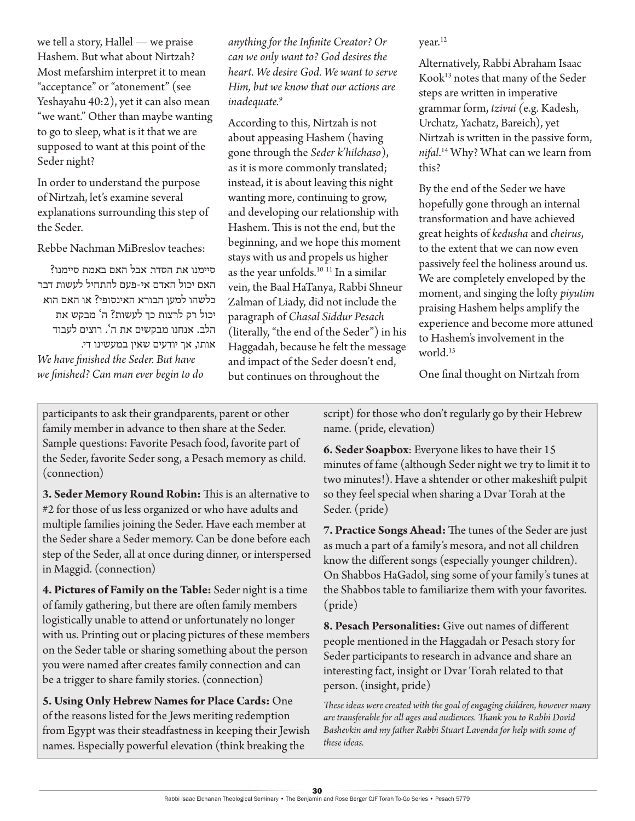we tell a story, Hallel — we praise Hashem. But what about Nirtzah? Most mefarshim interpret it to mean "acceptance" or "atonement" (see Yeshayahu 40:2), yet it can also mean "we want." Other than maybe wanting to go to sleep, what is it that we are supposed to want at this point of the Seder night?

In order to understand the purpose of Nirtzah, let's examine several explanations surrounding this step of the Seder.

Rebbe Nachman MiBreslov teaches:

סיימנו את הסדר. אבל האם באמת סיימנו? האם יכול האדם אי-פעם להתחיל לעשות דבר כלשהו למען הבורא האינסופי? או האם הוא יכול רק לרצות כך לעשות? ה' מבקש את הלב. אנחנו מבקשים את ה'. רוצים לעבוד

אותו, אך יודעים שאין במעשינו די. *We have finished the Seder. But have we finished? Can man ever begin to do* 

*anything for the Infinite Creator? Or can we only want to? God desires the heart. We desire God. We want to serve Him, but we know that our actions are inadequate.9*

According to this, Nirtzah is not about appeasing Hashem (having gone through the *Seder k'hilchaso*), as it is more commonly translated; instead, it is about leaving this night wanting more, continuing to grow, and developing our relationship with Hashem. This is not the end, but the beginning, and we hope this moment stays with us and propels us higher as the year unfolds.<sup>10 11</sup> In a similar vein, the Baal HaTanya, Rabbi Shneur Zalman of Liady, did not include the paragraph of *Chasal Siddur Pesach* (literally, "the end of the Seder") in his Haggadah, because he felt the message and impact of the Seder doesn't end, but continues on throughout the

year.<sup>12</sup>

Alternatively, Rabbi Abraham Isaac Kook13 notes that many of the Seder steps are written in imperative grammar form, *tzivui (*e.g. Kadesh, Urchatz, Yachatz, Bareich), yet Nirtzah is written in the passive form, *nifal*. 14 Why? What can we learn from this?

By the end of the Seder we have hopefully gone through an internal transformation and have achieved great heights of *kedusha* and *cheirus*, to the extent that we can now even passively feel the holiness around us. We are completely enveloped by the moment, and singing the lofty *piyutim* praising Hashem helps amplify the experience and become more attuned to Hashem's involvement in the world.<sup>15</sup>

One final thought on Nirtzah from

participants to ask their grandparents, parent or other family member in advance to then share at the Seder. Sample questions: Favorite Pesach food, favorite part of the Seder, favorite Seder song, a Pesach memory as child. (connection)

**3. Seder Memory Round Robin:** This is an alternative to #2 for those of us less organized or who have adults and multiple families joining the Seder. Have each member at the Seder share a Seder memory. Can be done before each step of the Seder, all at once during dinner, or interspersed in Maggid. (connection)

**4. Pictures of Family on the Table:** Seder night is a time of family gathering, but there are often family members logistically unable to attend or unfortunately no longer with us. Printing out or placing pictures of these members on the Seder table or sharing something about the person you were named after creates family connection and can be a trigger to share family stories. (connection)

**5. Using Only Hebrew Names for Place Cards:** One of the reasons listed for the Jews meriting redemption from Egypt was their steadfastness in keeping their Jewish names. Especially powerful elevation (think breaking the

script) for those who don't regularly go by their Hebrew name. (pride, elevation)

**6. Seder Soapbox**: Everyone likes to have their 15 minutes of fame (although Seder night we try to limit it to two minutes!). Have a shtender or other makeshift pulpit so they feel special when sharing a Dvar Torah at the Seder. (pride)

**7. Practice Songs Ahead:** The tunes of the Seder are just as much a part of a family's mesora, and not all children know the different songs (especially younger children). On Shabbos HaGadol, sing some of your family's tunes at the Shabbos table to familiarize them with your favorites. (pride)

**8. Pesach Personalities:** Give out names of different people mentioned in the Haggadah or Pesach story for Seder participants to research in advance and share an interesting fact, insight or Dvar Torah related to that person. (insight, pride)

*These ideas were created with the goal of engaging children, however many are transferable for all ages and audiences. Thank you to Rabbi Dovid Bashevkin and my father Rabbi Stuart Lavenda for help with some of these ideas.*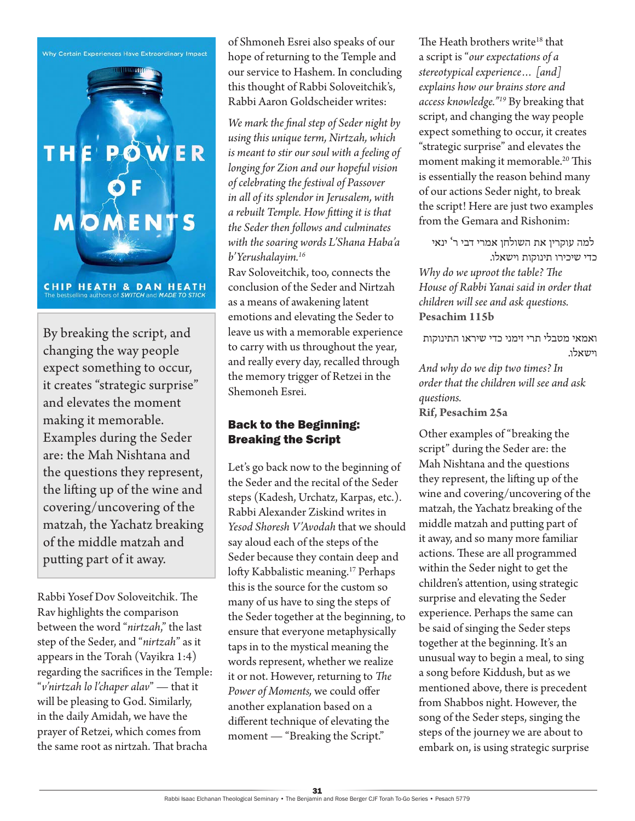



By breaking the script, and changing the way people expect something to occur, it creates "strategic surprise" and elevates the moment making it memorable. Examples during the Seder are: the Mah Nishtana and the questions they represent, the lifting up of the wine and covering/uncovering of the matzah, the Yachatz breaking of the middle matzah and putting part of it away.

Rabbi Yosef Dov Soloveitchik. The Rav highlights the comparison between the word "*nirtzah*," the last step of the Seder, and "*nirtzah*" as it appears in the Torah (Vayikra 1:4) regarding the sacrifices in the Temple: "*v'nirtzah lo l'chaper alav*" — that it will be pleasing to God. Similarly, in the daily Amidah, we have the prayer of Retzei, which comes from the same root as nirtzah. That bracha

of Shmoneh Esrei also speaks of our hope of returning to the Temple and our service to Hashem. In concluding this thought of Rabbi Soloveitchik's, Rabbi Aaron Goldscheider writes:

*We mark the final step of Seder night by using this unique term, Nirtzah, which is meant to stir our soul with a feeling of longing for Zion and our hopeful vision of celebrating the festival of Passover in all of its splendor in Jerusalem, with a rebuilt Temple. How fitting it is that the Seder then follows and culminates with the soaring words L'Shana Haba'a b'Yerushalayim.16*

Rav Soloveitchik, too, connects the conclusion of the Seder and Nirtzah as a means of awakening latent emotions and elevating the Seder to leave us with a memorable experience to carry with us throughout the year, and really every day, recalled through the memory trigger of Retzei in the Shemoneh Esrei.

## Back to the Beginning: Breaking the Script

Let's go back now to the beginning of the Seder and the recital of the Seder steps (Kadesh, Urchatz, Karpas, etc.). Rabbi Alexander Ziskind writes in *Yesod Shoresh V'Avodah* that we should say aloud each of the steps of the Seder because they contain deep and lofty Kabbalistic meaning.<sup>17</sup> Perhaps this is the source for the custom so many of us have to sing the steps of the Seder together at the beginning, to ensure that everyone metaphysically taps in to the mystical meaning the words represent, whether we realize it or not. However, returning to *The Power of Moments,* we could offer another explanation based on a different technique of elevating the moment — "Breaking the Script."

The Heath brothers write<sup>18</sup> that a script is "*our expectations of a stereotypical experience… [and] explains how our brains store and access knowledge."19* By breaking that script, and changing the way people expect something to occur, it creates "strategic surprise" and elevates the moment making it memorable.<sup>20</sup> This is essentially the reason behind many of our actions Seder night, to break the script! Here are just two examples from the Gemara and Rishonim:

 למה עוקרין את השולחן אמרי דבי ר' ינאי כדי שיכירו תינוקות וישאלו.

*Why do we uproot the table? The House of Rabbi Yanai said in order that children will see and ask questions.* **Pesachim 115b**

ואמאי מטבלי תרי זימני כדי שיראו התינוקות וישאלו.

*And why do we dip two times? In order that the children will see and ask questions.*

**Rif, Pesachim 25a**

Other examples of "breaking the script" during the Seder are: the Mah Nishtana and the questions they represent, the lifting up of the wine and covering/uncovering of the matzah, the Yachatz breaking of the middle matzah and putting part of it away, and so many more familiar actions. These are all programmed within the Seder night to get the children's attention, using strategic surprise and elevating the Seder experience. Perhaps the same can be said of singing the Seder steps together at the beginning. It's an unusual way to begin a meal, to sing a song before Kiddush, but as we mentioned above, there is precedent from Shabbos night. However, the song of the Seder steps, singing the steps of the journey we are about to embark on, is using strategic surprise